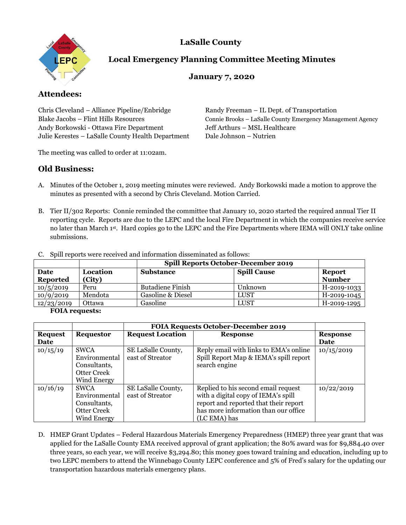**LaSalle County** 



# **Local Emergency Planning Committee Meeting Minutes**

## **January 7, 2020**

# **Attendees:**

Chris Cleveland – Alliance Pipeline/Enbridge Randy Freeman – IL Dept. of Transportation Andy Borkowski - Ottawa Fire Department Jeff Arthurs – MSL Healthcare Julie Kerestes – LaSalle County Health Department Dale Johnson – Nutrien

Blake Jacobs – Flint Hills Resources Connie Brooks – LaSalle County Emergency Management Agency

The meeting was called to order at 11:02am.

# **Old Business:**

- A. Minutes of the October 1, 2019 meeting minutes were reviewed. Andy Borkowski made a motion to approve the minutes as presented with a second by Chris Cleveland. Motion Carried.
- B. Tier II/302 Reports: Connie reminded the committee that January 10, 2020 started the required annual Tier II reporting cycle. Reports are due to the LEPC and the local Fire Department in which the companies receive service no later than March 1st. Hard copies go to the LEPC and the Fire Departments where IEMA will ONLY take online submissions.

|                         |                    |                         | <b>Spill Reports October-December 2019</b> |                                |  |
|-------------------------|--------------------|-------------------------|--------------------------------------------|--------------------------------|--|
| Date<br><b>Reported</b> | Location<br>(City) | <b>Substance</b>        | <b>Spill Cause</b>                         | <b>Report</b><br><b>Number</b> |  |
| 10/5/2019               | Peru               | <b>Butadiene Finish</b> | Unknown                                    | H-2019-1033                    |  |
| 10/9/2019               | Mendota            | Gasoline & Diesel       | <b>LUST</b>                                | H-2019-1045                    |  |
| 12/23/2019              | Ottawa             | Gasoline                | LUST                                       | H-2019-1295                    |  |

C. Spill reports were received and information disseminated as follows:

#### **FOIA requests:**

|                |                    | <b>FOIA Requests October-December 2019</b> |                                        |                 |
|----------------|--------------------|--------------------------------------------|----------------------------------------|-----------------|
| <b>Request</b> | <b>Requestor</b>   | <b>Request Location</b>                    | <b>Response</b>                        | <b>Response</b> |
| Date           |                    |                                            |                                        | Date            |
| 10/15/19       | <b>SWCA</b>        | SE LaSalle County,                         | Reply email with links to EMA's online | 10/15/2019      |
|                | Environmental      | east of Streator                           | Spill Report Map & IEMA's spill report |                 |
|                | Consultants,       |                                            | search engine                          |                 |
|                | Otter Creek        |                                            |                                        |                 |
|                | Wind Energy        |                                            |                                        |                 |
| 10/16/19       | <b>SWCA</b>        | SE LaSalle County,                         | Replied to his second email request    | 10/22/2019      |
|                | Environmental      | east of Streator                           | with a digital copy of IEMA's spill    |                 |
|                | Consultants,       |                                            | report and reported that their report  |                 |
|                | Otter Creek        |                                            | has more information than our office   |                 |
|                | <b>Wind Energy</b> |                                            | (LC EMA) has                           |                 |

D. HMEP Grant Updates – Federal Hazardous Materials Emergency Preparedness (HMEP) three year grant that was applied for the LaSalle County EMA received approval of grant application; the 80% award was for \$9,884.40 over three years, so each year, we will receive \$3,294.80; this money goes toward training and education, including up to two LEPC members to attend the Winnebago County LEPC conference and 5% of Fred's salary for the updating our transportation hazardous materials emergency plans.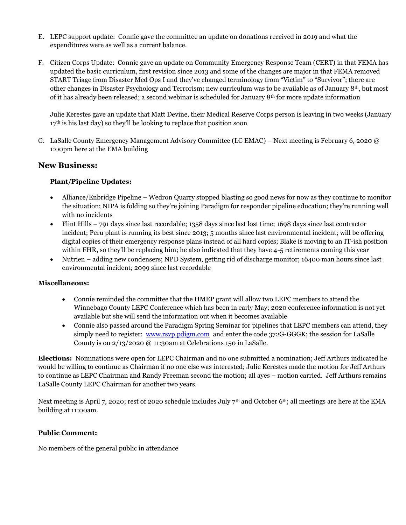- E. LEPC support update: Connie gave the committee an update on donations received in 2019 and what the expenditures were as well as a current balance.
- F. Citizen Corps Update: Connie gave an update on Community Emergency Response Team (CERT) in that FEMA has updated the basic curriculum, first revision since 2013 and some of the changes are major in that FEMA removed START Triage from Disaster Med Ops I and they've changed terminology from "Victim" to "Survivor"; there are other changes in Disaster Psychology and Terrorism; new curriculum was to be available as of January 8th, but most of it has already been released; a second webinar is scheduled for January 8th for more update information

Julie Kerestes gave an update that Matt Devine, their Medical Reserve Corps person is leaving in two weeks (January 17<sup>th</sup> is his last day) so they'll be looking to replace that position soon

G. LaSalle County Emergency Management Advisory Committee (LC EMAC) – Next meeting is February 6, 2020 @ 1:00pm here at the EMA building

## **New Business:**

## **Plant/Pipeline Updates:**

- Alliance/Enbridge Pipeline Wedron Quarry stopped blasting so good news for now as they continue to monitor the situation; NIPA is folding so they're joining Paradigm for responder pipeline education; they're running well with no incidents
- Flint Hills 791 days since last recordable; 1358 days since last lost time; 1698 days since last contractor incident; Peru plant is running its best since 2013; 5 months since last environmental incident; will be offering digital copies of their emergency response plans instead of all hard copies; Blake is moving to an IT-ish position within FHR, so they'll be replacing him; he also indicated that they have 4-5 retirements coming this year
- Nutrien adding new condensers; NPD System, getting rid of discharge monitor; 16400 man hours since last environmental incident; 2099 since last recordable

## **Miscellaneous:**

- Connie reminded the committee that the HMEP grant will allow two LEPC members to attend the Winnebago County LEPC Conference which has been in early May; 2020 conference information is not yet available but she will send the information out when it becomes available
- Connie also passed around the Paradigm Spring Seminar for pipelines that LEPC members can attend, they simply need to register: [www.rsvp.pdigm.com](http://www.rsvp.pdigm.com/) and enter the code 372G-GGGK; the session for LaSalle County is on 2/13/2020 @ 11:30am at Celebrations 150 in LaSalle.

**Elections:** Nominations were open for LEPC Chairman and no one submitted a nomination; Jeff Arthurs indicated he would be willing to continue as Chairman if no one else was interested; Julie Kerestes made the motion for Jeff Arthurs to continue as LEPC Chairman and Randy Freeman second the motion; all ayes – motion carried. Jeff Arthurs remains LaSalle County LEPC Chairman for another two years.

Next meeting is April 7, 2020; rest of 2020 schedule includes July 7<sup>th</sup> and October 6<sup>th</sup>; all meetings are here at the EMA building at 11:00am.

## **Public Comment:**

No members of the general public in attendance